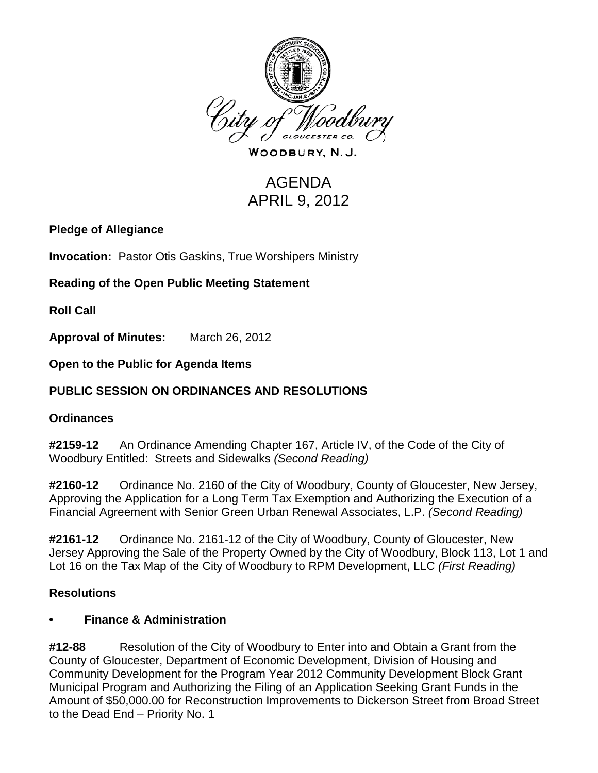

WOODBURY, N.J.

# AGENDA APRIL 9, 2012

### **Pledge of Allegiance**

**Invocation:** Pastor Otis Gaskins, True Worshipers Ministry

# **Reading of the Open Public Meeting Statement**

**Roll Call**

**Approval of Minutes:** March 26, 2012

### **Open to the Public for Agenda Items**

## **PUBLIC SESSION ON ORDINANCES AND RESOLUTIONS**

### **Ordinances**

**#2159-12** An Ordinance Amending Chapter 167, Article IV, of the Code of the City of Woodbury Entitled: Streets and Sidewalks *(Second Reading)*

**#2160-12** Ordinance No. 2160 of the City of Woodbury, County of Gloucester, New Jersey, Approving the Application for a Long Term Tax Exemption and Authorizing the Execution of a Financial Agreement with Senior Green Urban Renewal Associates, L.P. *(Second Reading)*

**#2161-12** Ordinance No. 2161-12 of the City of Woodbury, County of Gloucester, New Jersey Approving the Sale of the Property Owned by the City of Woodbury, Block 113, Lot 1 and Lot 16 on the Tax Map of the City of Woodbury to RPM Development, LLC *(First Reading)*

### **Resolutions**

### **• Finance & Administration**

**#12-88** Resolution of the City of Woodbury to Enter into and Obtain a Grant from the County of Gloucester, Department of Economic Development, Division of Housing and Community Development for the Program Year 2012 Community Development Block Grant Municipal Program and Authorizing the Filing of an Application Seeking Grant Funds in the Amount of \$50,000.00 for Reconstruction Improvements to Dickerson Street from Broad Street to the Dead End – Priority No. 1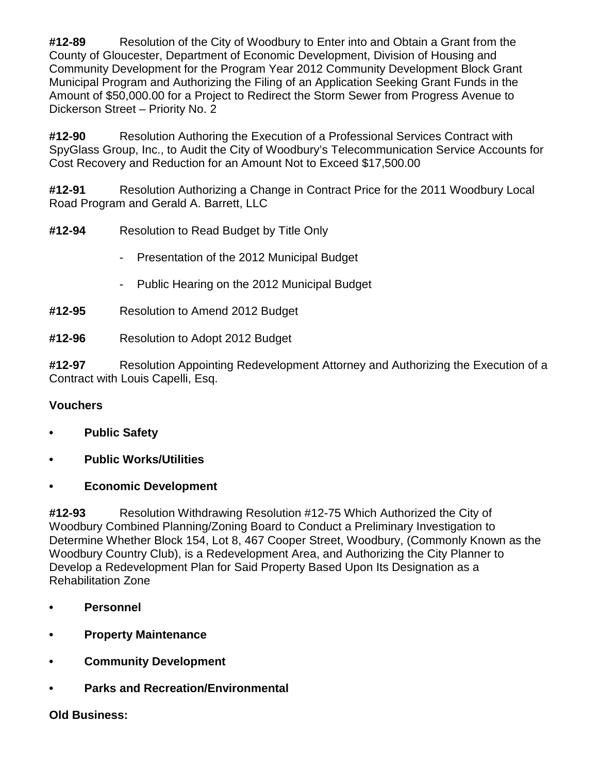**#12-89** Resolution of the City of Woodbury to Enter into and Obtain a Grant from the County of Gloucester, Department of Economic Development, Division of Housing and Community Development for the Program Year 2012 Community Development Block Grant Municipal Program and Authorizing the Filing of an Application Seeking Grant Funds in the Amount of \$50,000.00 for a Project to Redirect the Storm Sewer from Progress Avenue to Dickerson Street – Priority No. 2

**#12-90** Resolution Authoring the Execution of a Professional Services Contract with SpyGlass Group, Inc., to Audit the City of Woodbury's Telecommunication Service Accounts for Cost Recovery and Reduction for an Amount Not to Exceed \$17,500.00

**#12-91** Resolution Authorizing a Change in Contract Price for the 2011 Woodbury Local Road Program and Gerald A. Barrett, LLC

- **#12-94** Resolution to Read Budget by Title Only
	- Presentation of the 2012 Municipal Budget
	- Public Hearing on the 2012 Municipal Budget
- **#12-95** Resolution to Amend 2012 Budget
- **#12-96** Resolution to Adopt 2012 Budget

**#12-97** Resolution Appointing Redevelopment Attorney and Authorizing the Execution of a Contract with Louis Capelli, Esq.

### **Vouchers**

- **• Public Safety**
- **• Public Works/Utilities**
- **• Economic Development**

**#12-93** Resolution Withdrawing Resolution #12-75 Which Authorized the City of Woodbury Combined Planning/Zoning Board to Conduct a Preliminary Investigation to Determine Whether Block 154, Lot 8, 467 Cooper Street, Woodbury, (Commonly Known as the Woodbury Country Club), is a Redevelopment Area, and Authorizing the City Planner to Develop a Redevelopment Plan for Said Property Based Upon Its Designation as a Rehabilitation Zone

- **• Personnel**
- **• Property Maintenance**
- **• Community Development**
- **• Parks and Recreation/Environmental**

#### **Old Business:**